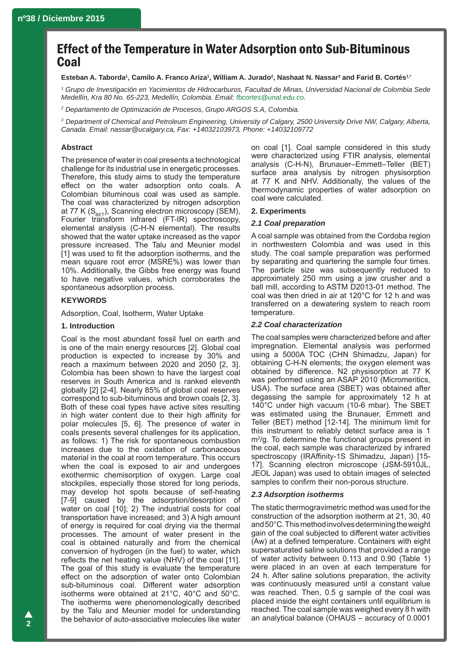# Effect of the Temperature in Water Adsorption onto Sub-Bituminous Coal

#### $E$ steban A. Taborda<sup>1</sup>, Camilo A. Franco Ariza<sup>1</sup>, William A. Jurado<sup>2</sup>, Nashaat N. Nassar $^3$  and Farid B. Cortés<sup>1,</sup>\*

*1 Grupo de Investigación en Yacimientos de Hidrocarburos, Facultad de Minas, Universidad Nacional de Colombia Sede Medellín, Kra 80 No. 65-223, Medellín, Colombia. Email: [fbcortes@unal.edu.co](mailto:fbcortes@unal.edu.co).*

*2 Departamento de Optimización de Procesos, Grupo ARGOS S.A, Colombia.*

*3 Department of Chemical and Petroleum Engineering, University of Calgary, 2500 University Drive NW, Calgary, Alberta, Canada. Email: nassar@ucalgary.ca, Fax: +14032103973, Phone: +14032109772*

## **Abstract**

The presence of water in coal presents a technological challenge for its industrial use in energetic processes. Therefore, this study aims to study the temperature effect on the water adsorption onto coals. A Colombian bituminous coal was used as sample. The coal was characterized by nitrogen adsorption at 77 K  $(S_{\text{BET}})$ , Scanning electron microscopy (SEM), Fourier transform infrared (FT-IR) spectroscopy, elemental analysis (C-H-N elemental). The results showed that the water uptake increased as the vapor pressure increased. The Talu and Meunier model [1] was used to fit the adsorption isotherms, and the mean square root error (MSRE%) was lower than 10%. Additionally, the Gibbs free energy was found to have negative values, which corroborates the spontaneous adsorption process.

## **KEYWORDS**

Adsorption, Coal, Isotherm, Water Uptake

## **1. Introduction**

Coal is the most abundant fossil fuel on earth and is one of the main energy resources [2]. Global coal production is expected to increase by 30% and reach a maximum between 2020 and 2050 [2, 3]. Colombia has been shown to have the largest coal reserves in South America and is ranked eleventh globally [2] [2-4]. Nearly 85% of global coal reserves correspond to sub-bituminous and brown coals [2, 3]. Both of these coal types have active sites resulting in high water content due to their high affinity for polar molecules [5, 6]. The presence of water in coals presents several challenges for its application, as follows: 1) The risk for spontaneous combustion increases due to the oxidation of carbonaceous material in the coal at room temperature. This occurs when the coal is exposed to air and undergoes exothermic chemisorption of oxygen. Large coal stockpiles, especially those stored for long periods, may develop hot spots because of self-heating [7-9] caused by the adsorption/desorption of water on coal [10]; 2) The industrial costs for coal transportation have increased; and 3) A high amount of energy is required for coal drying via the thermal processes. The amount of water present in the coal is obtained naturally and from the chemical conversion of hydrogen (in the fuel) to water, which reflects the net heating value (NHV) of the coal [11]. The goal of this study is evaluate the temperature effect on the adsorption of water onto Colombian sub-bituminous coal. Different water adsorption isotherms were obtained at 21°C, 40°C and 50°C. The isotherms were phenomenologically described by the Talu and Meunier model for understanding the behavior of auto-associative molecules like water

on coal [1]. Coal sample considered in this study were characterized using FTIR analysis, elemental analysis (C-H-N), Brunauer–Emmett–Teller (BET) surface area analysis by nitrogen physisorption at 77 K and NHV. Additionally, the values of the thermodynamic properties of water adsorption on coal were calculated.

## **2. Experiments**

#### *2.1 Coal preparation*

A coal sample was obtained from the Cordoba region in northwestern Colombia and was used in this study. The coal sample preparation was performed by separating and quartering the sample four times. The particle size was subsequently reduced to approximately 250 mm using a jaw crusher and a ball mill, according to ASTM D2013-01 method. The coal was then dried in air at 120°C for 12 h and was transferred on a dewatering system to reach room temperature.

## *2.2 Coal characterization*

The coal samples were characterized before and after impregnation. Elemental analysis was performed using a 5000A TOC (CHN Shimadzu, Japan) for obtaining C-H-N elements; the oxygen element was obtained by difference. N2 physisorption at 77 K was performed using an ASAP 2010 (Micromeritics, USA). The surface area (SBET) was obtained after degassing the sample for approximately 12 h at 140°C under high vacuum (10-6 mbar). The SBET was estimated using the Brunauer, Emmett and Teller (BET) method [12-14]. The minimum limit for this instrument to reliably detect surface area is 1 m<sup>2</sup>/g. To determine the functional groups present in the coal, each sample was characterized by infrared spectroscopy (IRAffinity-1S Shimadzu, Japan) [15- 17]. Scanning electron microscope (JSM-5910JL, JEOL Japan) was used to obtain images of selected samples to confirm their non-porous structure.

## *2.3 Adsorption isotherms*

The static thermogravimetric method was used for the construction of the adsorption isotherm at 21, 30, 40 and 50°C. This method involves determining the weight gain of the coal subjected to different water activities (Aw) at a defined temperature. Containers with eight supersaturated saline solutions that provided a range of water activity between 0.113 and 0.90 (Table 1) were placed in an oven at each temperature for 24 h. After saline solutions preparation, the activity was continuously measured until a constant value was reached. Then, 0.5 g sample of the coal was placed inside the eight containers until equilibrium is reached. The coal sample was weighed every 8 h with an analytical balance (OHAUS – accuracy of 0.0001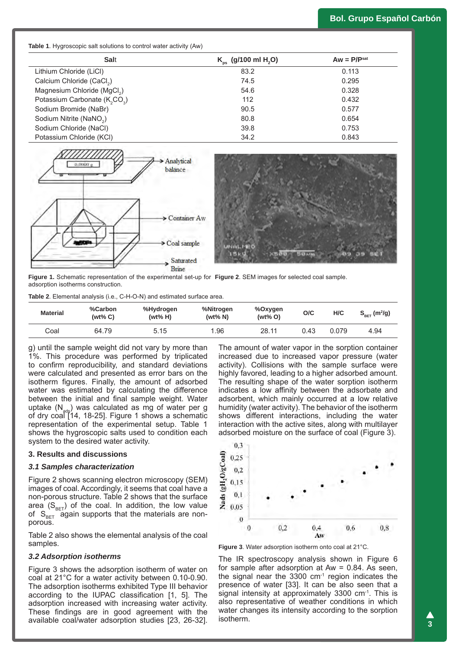| $K_{ps}$ (g/100 ml H <sub>2</sub> O) | $Aw = P/Psat$ |
|--------------------------------------|---------------|
| 83.2                                 | 0.113         |
| 74.5                                 | 0.295         |
| 54.6                                 | 0.328         |
| 112                                  | 0.432         |
| 90.5                                 | 0.577         |
| 80.8                                 | 0.654         |
| 39.8                                 | 0.753         |
| 34.2                                 | 0.843         |
|                                      |               |



**Figure 1.** Schematic representation of the experimental set-up for **Figure 2**. SEM images for selected coal sample.adsorption isotherms construction.

**Table 2**. Elemental analysis (i.e., C-H-O-N) and estimated surface area.

| <b>Material</b> | %Carbon<br>$(wt\% C)$ | %Hydrogen<br>$(wt\% H)$ | %Nitrogen<br>(wt% N) | %Oxygen<br>$(wt\% O)$ | O/C  | H/C   | $S_{\text{BET}}$ (m <sup>2</sup> /g) |
|-----------------|-----------------------|-------------------------|----------------------|-----------------------|------|-------|--------------------------------------|
| Coal            | 64.79                 | 5.15                    | 1.96                 | 28.11                 | 0.43 | 0.079 | 4.94                                 |

g) until the sample weight did not vary by more than 1%. This procedure was performed by triplicated to confirm reproducibility, and standard deviations were calculated and presented as error bars on the isotherm figures. Finally, the amount of adsorbed water was estimated by calculating the difference between the initial and final sample weight. Water uptake  $(N_{\text{ads}})$  was calculated as mg of water per g of dry coal [14, 18-25]. Figure 1 shows a schematic representation of the experimental setup. Table 1 shows the hygroscopic salts used to condition each system to the desired water activity.

#### **3. Results and discussions**

#### *3.1 Samples characterization*

Figure 2 shows scanning electron microscopy (SEM) images of coal. Accordingly, it seems that coal have a non-porous structure. Table 2 shows that the surface area  $(S_{BET})$  of the coal. In addition, the low value of  $S_{BET}$  again supports that the materials are nonporous.

Table 2 also shows the elemental analysis of the coal samples.

#### *3.2 Adsorption isotherms*

Figure 3 shows the adsorption isotherm of water on coal at 21°C for a water activity between 0.10-0.90. The adsorption isotherms exhibited Type III behavior according to the IUPAC classification [1, 5]. The adsorption increased with increasing water activity. These findings are in good agreement with the available coal/water adsorption studies [23, 26-32]. The amount of water vapor in the sorption container increased due to increased vapor pressure (water activity). Collisions with the sample surface were highly favored, leading to a higher adsorbed amount. The resulting shape of the water sorption isotherm indicates a low affinity between the adsorbate and adsorbent, which mainly occurred at a low relative humidity (water activity). The behavior of the isotherm shows different interactions, including the water interaction with the active sites, along with multilayer adsorbed moisture on the surface of coal (Figure 3).



**Figure 3**. Water adsorption isotherm onto coal at 21°C.

The IR spectroscopy analysis shown in Figure 6 for sample after adsorption at  $Aw = 0.84$ . As seen, the signal near the  $3300 \, \text{cm}^{-1}$  region indicates the presence of water [33]. It can be also seen that a signal intensity at approximately 3300  $cm<sup>-1</sup>$ . This is also representative of weather conditions in which water changes its intensity according to the sorption isotherm.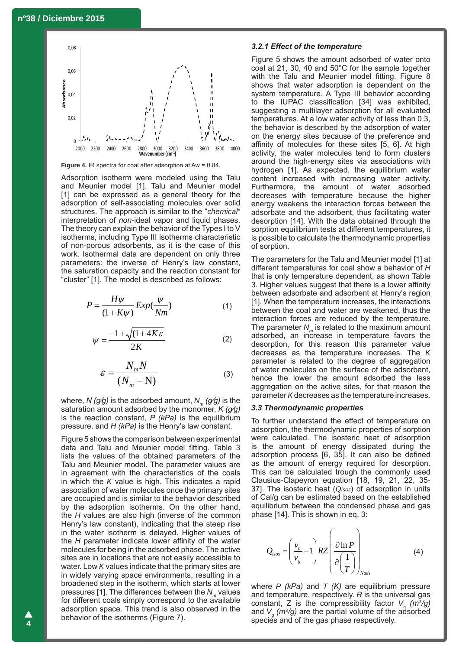

**Figure 4.** IR spectra for coal after adsorption at Aw = 0.84.

Adsorption isotherm were modeled using the Talu and Meunier model [1]. Talu and Meunier model [1] can be expressed as a general theory for the adsorption of self-associating molecules over solid structures. The approach is similar to the "*chemical*" interpretation of *non*-ideal vapor and liquid phases. The theory can explain the behavior of the Types I to V isotherms, including Type III isotherms characteristic of non-porous adsorbents, as it is the case of this work. Isothermal data are dependent on only three parameters: the inverse of Henry's law constant, the saturation capacity and the reaction constant for "cluster" [1]. The model is described as follows:

$$
P = \frac{H\psi}{(1+K\psi)}Exp(\frac{\psi}{Nm})
$$
 (1)

$$
\psi = \frac{-1 + \sqrt{(1 + 4K\varepsilon)}}{2K} \tag{2}
$$

$$
\varepsilon = \frac{N_m N}{(N_m - N)}\tag{3}
$$

where, *N* ( $g/g$ ) is the adsorbed amount,  $N_m(g/g)$  is the saturation amount adsorbed by the monomer, *K (g/g)* is the reaction constant, *P (kPa)* is the equilibrium pressure, and *H (kPa)* is the Henry's law constant.

Figure 5 shows the comparison between experimental data and Talu and Meunier model fitting. Table 3 lists the values of the obtained parameters of the Talu and Meunier model. The parameter values are in agreement with the characteristics of the coals in which the *K* value is high. This indicates a rapid association of water molecules once the primary sites are occupied and is similar to the behavior described by the adsorption isotherms. On the other hand, the *H* values are also high (inverse of the common Henry's law constant), indicating that the steep rise in the water isotherm is delayed. Higher values of the *H* parameter indicate lower affinity of the water molecules for being in the adsorbed phase. The active sites are in locations that are not easily accessible to water. Low *K* values indicate that the primary sites are in widely varying space environments, resulting in a broadened step in the isotherm, which starts at lower pressures [1]. The differences between the *N<sub>m</sub>* values for different coals simply correspond to the available adsorption space. This trend is also observed in the behavior of the isotherms (Figure 7).

#### *3.2.1 Effect of the temperature*

Figure 5 shows the amount adsorbed of water onto coal at 21, 30, 40 and 50°C for the sample together with the Talu and Meunier model fitting. Figure 8 shows that water adsorption is dependent on the system temperature. A Type III behavior according to the IUPAC classification [34] was exhibited, suggesting a multilayer adsorption for all evaluated temperatures. At a low water activity of less than 0.3, the behavior is described by the adsorption of water on the energy sites because of the preference and affinity of molecules for these sites [5, 6]. At high activity, the water molecules tend to form clusters around the high-energy sites via associations with hydrogen [1]. As expected, the equilibrium water content increased with increasing water activity. Furthermore, the amount of water adsorbed decreases with temperature because the higher energy weakens the interaction forces between the adsorbate and the adsorbent, thus facilitating water desorption [14]. With the data obtained through the sorption equilibrium tests at different temperatures, it is possible to calculate the thermodynamic properties of sorption.

The parameters for the Talu and Meunier model [1] at different temperatures for coal show a behavior of *H* that is only temperature dependent, as shown Table 3. Higher values suggest that there is a lower affinity between adsorbate and adsorbent at Henry's region [1]. When the temperature increases, the interactions between the coal and water are weakened, thus the interaction forces are reduced by the temperature. The parameter  $N_m$  is related to the maximum amount adsorbed, an increase in temperature favors the desorption, for this reason this parameter value decreases as the temperature increases. The *K* parameter is related to the degree of aggregation of water molecules on the surface of the adsorbent, hence the lower the amount adsorbed the less aggregation on the active sites, for that reason the parameter *K* decreases as the temperature increases.

#### *3.3 Thermodynamic properties*

To further understand the effect of temperature on adsorption, the thermodynamic properties of sorption were calculated. The isosteric heat of adsorption is the amount of energy dissipated during the adsorption process [6, 35]. It can also be defined as the amount of energy required for desorption. This can be calculated trough the commonly used Clausius-Clapeyron equation [18, 19, 21, 22, 35- 37]. The isosteric heat (*Qisos*) of adsorption in units of Cal/g can be estimated based on the established equilibrium between the condensed phase and gas phase [14]. This is shown in eq. 3:

$$
Q_{\text{isos}} = \left(\frac{v_n}{v_g} - 1\right) R Z \left(\frac{\partial \ln P}{\partial \left(\frac{1}{T}\right)}\right)_{\text{Nads}}
$$
 (4)

where *P (kPa)* and *T (K)* are equilibrium pressure and temperature, respectively. *R* is the universal gas constant, Z is the compressibility factor  $V_n$  ( $m^3$ /g) and *Vg (m3 /g)* are the partial volume of the adsorbed species and of the gas phase respectively.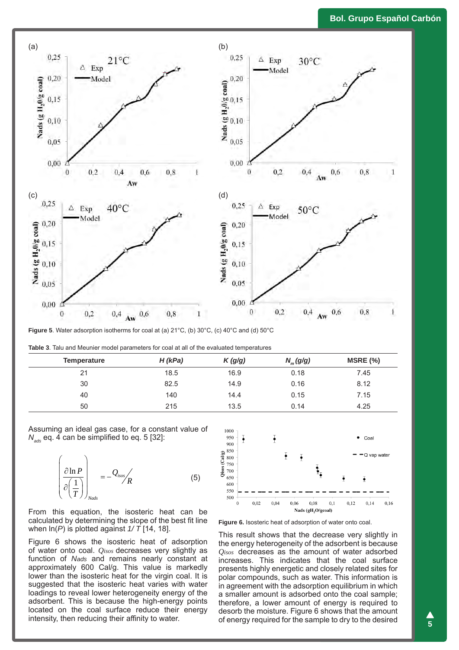## **Bol. Grupo Español Carbón**



**Figure 5**. Water adsorption isotherms for coal at (a) 21°C, (b) 30°C, (c) 40°C and (d) 50°C

|  |  |  |  |  |  |  |  |  | <b>Table 3.</b> Talu and Meunier model parameters for coal at all of the evaluated temperatures |
|--|--|--|--|--|--|--|--|--|-------------------------------------------------------------------------------------------------|
|--|--|--|--|--|--|--|--|--|-------------------------------------------------------------------------------------------------|

| <b>Temperature</b> | $H$ (kPa) | K(g/g) | $N_m(g/g)$ | MSRE(%) |
|--------------------|-----------|--------|------------|---------|
| 21                 | 18.5      | 16.9   | 0.18       | 7.45    |
| 30                 | 82.5      | 14.9   | 0.16       | 8.12    |
| 40                 | 140       | 14.4   | 0.15       | 7.15    |
| 50                 | 215       | 13.5   | 0.14       | 4.25    |

Assuming an ideal gas case, for a constant value of *Nads* eq. 4 can be simplified to eq. 5 [32]:

$$
\left(\frac{\partial \ln P}{\partial \left(\frac{1}{T}\right)}\right)_{Nads} = -\frac{Q_{isos}}{R}
$$
 (5)

From this equation, the isosteric heat can be calculated by determining the slope of the best fit line when ln(*P*) is plotted against *1/ T* [14, 18].

Figure 6 shows the isosteric heat of adsorption of water onto coal. *Qisos* decreases very slightly as function of *Nads* and remains nearly constant at approximately 600 Cal/g. This value is markedly lower than the isosteric heat for the virgin coal. It is suggested that the isosteric heat varies with water loadings to reveal lower heterogeneity energy of the adsorbent. This is because the high-energy points located on the coal surface reduce their energy intensity, then reducing their affinity to water.



**Figure 6.** Isosteric heat of adsorption of water onto coal.

This result shows that the decrease very slightly in the energy heterogeneity of the adsorbent is because *Qisos* decreases as the amount of water adsorbed increases. This indicates that the coal surface presents highly energetic and closely related sites for polar compounds, such as water. This information is in agreement with the adsorption equilibrium in which a smaller amount is adsorbed onto the coal sample; therefore, a lower amount of energy is required to desorb the moisture. Figure 6 shows that the amount of energy required for the sample to dry to the desired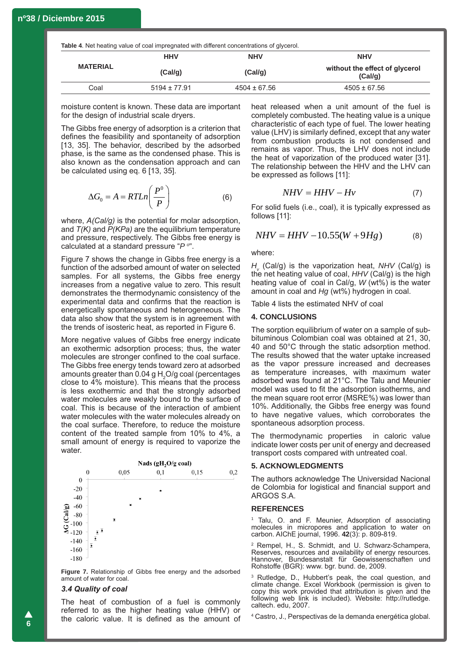**Table 4**. Net heating value of coal impregnated with different concentrations of glycerol.

|                 | <b>HHV</b>       | <b>NHV</b>       | <b>NHV</b>                                |
|-----------------|------------------|------------------|-------------------------------------------|
| <b>MATERIAL</b> | (Cal/g)          | (Cal/g)          | without the effect of glycerol<br>(Cal/q) |
| Coal            | $5194 \pm 77.91$ | $4504 \pm 67.56$ | $4505 \pm 67.56$                          |

moisture content is known. These data are important for the design of industrial scale dryers.

The Gibbs free energy of adsorption is a criterion that defines the feasibility and spontaneity of adsorption [13, 35]. The behavior, described by the adsorbed phase, is the same as the condensed phase. This is also known as the condensation approach and can be calculated using eq. 6 [13, 35].

$$
\Delta G_0 = A = RTLn\left(\frac{P^0}{P}\right) \tag{6}
$$

where, *A(Cal/g)* is the potential for molar adsorption, and *T(K)* and *P(KPa)* are the equilibrium temperature and pressure, respectively. The Gibbs free energy is calculated at a standard pressure "*P o* ".

Figure 7 shows the change in Gibbs free energy is a function of the adsorbed amount of water on selected samples. For all systems, the Gibbs free energy increases from a negative value to zero. This result demonstrates the thermodynamic consistency of the experimental data and confirms that the reaction is energetically spontaneous and heterogeneous. The data also show that the system is in agreement with the trends of isosteric heat, as reported in Figure 6.

More negative values of Gibbs free energy indicate an exothermic adsorption process; thus, the water molecules are stronger confined to the coal surface. The Gibbs free energy tends toward zero at adsorbed amounts greater than  $0.04$  g H<sub>2</sub>O/g coal (percentages close to 4% moisture). This means that the process is less exothermic and that the strongly adsorbed water molecules are weakly bound to the surface of coal. This is because of the interaction of ambient water molecules with the water molecules already on the coal surface. Therefore, to reduce the moisture content of the treated sample from 10% to 4%, a small amount of energy is required to vaporize the water.



**Figure 7.** Relationship of Gibbs free energy and the adsorbed amount of water for coal.

## *3.4 Quality of coal*

The heat of combustion of a fuel is commonly referred to as the higher heating value (HHV) or the caloric value. It is defined as the amount of heat released when a unit amount of the fuel is completely combusted. The heating value is a unique characteristic of each type of fuel. The lower heating value (LHV) is similarly defined, except that any water from combustion products is not condensed and remains as vapor. Thus, the LHV does not include the heat of vaporization of the produced water [31]. The relationship between the HHV and the LHV can be expressed as follows [11]:

$$
NHV = HHV - Hv \tag{7}
$$

For solid fuels (i.e., coal), it is typically expressed as follows [11]:

$$
NHV = HHV - 10.55(W + 9Hg)
$$
 (8)

where:

*Hv* (Cal/g) is the vaporization heat, *NHV* (Cal/g) is the net heating value of coal, *HHV* (Cal/g) is the high heating value of coal in Cal/g, *W* (wt%) is the water amount in coal and *Hg* (wt%) hydrogen in coal.

Table 4 lists the estimated NHV of coal

#### **4. CONCLUSIONS**

The sorption equilibrium of water on a sample of subbituminous Colombian coal was obtained at 21, 30, 40 and 50°C through the static adsorption method. The results showed that the water uptake increased as the vapor pressure increased and decreases as temperature increases, with maximum water adsorbed was found at 21°C. The Talu and Meunier model was used to fit the adsorption isotherms, and the mean square root error (MSRE%) was lower than 10%. Additionally, the Gibbs free energy was found to have negative values, which corroborates the spontaneous adsorption process.

The thermodynamic properties in caloric value indicate lower costs per unit of energy and decreased transport costs compared with untreated coal.

#### **5. ACKNOWLEDGMENTS**

The authors acknowledge The Universidad Nacional de Colombia for logistical and financial support and ARGOS S.A.

#### **REFERENCES**

1 Talu, O. and F. Meunier, Adsorption of associating molecules in micropores and application to water on carbon. AIChE journal, 1996. **42**(3): p. 809-819.

2 Rempel, H., S. Schmidt, and U. Schwarz-Schampera, Reserves, resources and availability of energy resources. Hannover, Bundesanstalt für Geowissenschaften und Rohstoffe (BGR): www. bgr. bund. de, 2009.

3 Rutledge, D., Hubbert's peak, the coal question, and climate change. Excel Workbook (permission is given to copy this work provided that attribution is given and the following web link is included). Website: http://rutledge. caltech. edu, 2007.

4 Castro, J., Perspectivas de la demanda energética global.